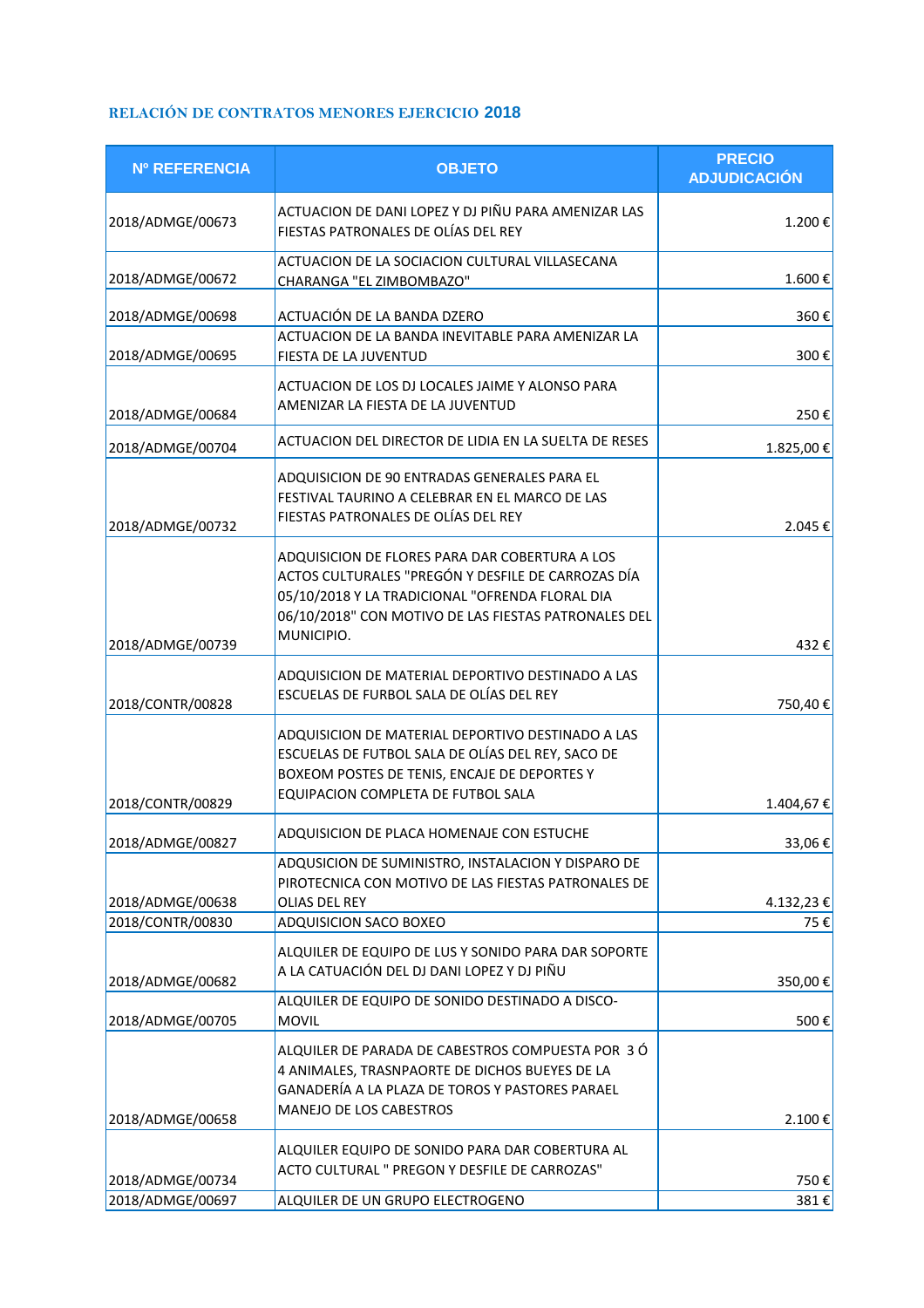## **RELACIÓN DE CONTRATOS MENORES EJERCICIO 2018**

| <b>Nº REFERENCIA</b> | <b>OBJETO</b>                                                                                                                                                                                                                 | <b>PRECIO</b><br><b>ADJUDICACIÓN</b> |
|----------------------|-------------------------------------------------------------------------------------------------------------------------------------------------------------------------------------------------------------------------------|--------------------------------------|
| 2018/ADMGE/00673     | ACTUACION DE DANI LOPEZ Y DJ PIÑU PARA AMENIZAR LAS<br>FIESTAS PATRONALES DE OLÍAS DEL REY                                                                                                                                    | 1.200€                               |
| 2018/ADMGE/00672     | ACTUACION DE LA SOCIACION CULTURAL VILLASECANA<br>CHARANGA "EL ZIMBOMBAZO"                                                                                                                                                    | 1.600€                               |
| 2018/ADMGE/00698     | ACTUACIÓN DE LA BANDA DZERO                                                                                                                                                                                                   | 360€                                 |
| 2018/ADMGE/00695     | ACTUACION DE LA BANDA INEVITABLE PARA AMENIZAR LA<br>FIESTA DE LA JUVENTUD                                                                                                                                                    | 300€                                 |
| 2018/ADMGE/00684     | ACTUACION DE LOS DJ LOCALES JAIME Y ALONSO PARA<br>AMENIZAR LA FIESTA DE LA JUVENTUD                                                                                                                                          | 250€                                 |
| 2018/ADMGE/00704     | ACTUACION DEL DIRECTOR DE LIDIA EN LA SUELTA DE RESES                                                                                                                                                                         | 1.825,00€                            |
| 2018/ADMGE/00732     | ADQUISICION DE 90 ENTRADAS GENERALES PARA EL<br>FESTIVAL TAURINO A CELEBRAR EN EL MARCO DE LAS<br>FIESTAS PATRONALES DE OLÍAS DEL REY                                                                                         | 2.045€                               |
|                      | ADQUISICION DE FLORES PARA DAR COBERTURA A LOS<br>ACTOS CULTURALES "PREGÓN Y DESFILE DE CARROZAS DÍA<br>05/10/2018 Y LA TRADICIONAL "OFRENDA FLORAL DIA<br>06/10/2018" CON MOTIVO DE LAS FIESTAS PATRONALES DEL<br>MUNICIPIO. |                                      |
| 2018/ADMGE/00739     |                                                                                                                                                                                                                               | 432€                                 |
| 2018/CONTR/00828     | ADQUISICION DE MATERIAL DEPORTIVO DESTINADO A LAS<br>ESCUELAS DE FURBOL SALA DE OLÍAS DEL REY                                                                                                                                 | 750,40€                              |
| 2018/CONTR/00829     | ADQUISICION DE MATERIAL DEPORTIVO DESTINADO A LAS<br>ESCUELAS DE FUTBOL SALA DE OLÍAS DEL REY, SACO DE<br>BOXEOM POSTES DE TENIS, ENCAJE DE DEPORTES Y<br>EQUIPACION COMPLETA DE FUTBOL SALA                                  | 1.404,67€                            |
| 2018/ADMGE/00827     | ADQUISICION DE PLACA HOMENAJE CON ESTUCHE                                                                                                                                                                                     | 33,06€                               |
| 2018/ADMGE/00638     | ADQUSICION DE SUMINISTRO, INSTALACION Y DISPARO DE<br>PIROTECNICA CON MOTIVO DE LAS FIESTAS PATRONALES DE<br>OLIAS DEL REY                                                                                                    | 4.132,23 €                           |
| 2018/CONTR/00830     | ADQUISICION SACO BOXEO                                                                                                                                                                                                        | 75€                                  |
| 2018/ADMGE/00682     | ALQUILER DE EQUIPO DE LUS Y SONIDO PARA DAR SOPORTE<br>A LA CATUACIÓN DEL DJ DANI LOPEZ Y DJ PIÑU                                                                                                                             | 350,00€                              |
| 2018/ADMGE/00705     | ALQUILER DE EQUIPO DE SONIDO DESTINADO A DISCO-<br><b>MOVIL</b>                                                                                                                                                               | 500€                                 |
| 2018/ADMGE/00658     | ALQUILER DE PARADA DE CABESTROS COMPUESTA POR 3 Ó<br>4 ANIMALES, TRASNPAORTE DE DICHOS BUEYES DE LA<br>GANADERÍA A LA PLAZA DE TOROS Y PASTORES PARAEL<br>MANEJO DE LOS CABESTROS                                             | 2.100€                               |
|                      | ALQUILER EQUIPO DE SONIDO PARA DAR COBERTURA AL                                                                                                                                                                               |                                      |
| 2018/ADMGE/00734     | ACTO CULTURAL " PREGON Y DESFILE DE CARROZAS"                                                                                                                                                                                 | 750€                                 |
| 2018/ADMGE/00697     | ALQUILER DE UN GRUPO ELECTROGENO                                                                                                                                                                                              | 381€                                 |